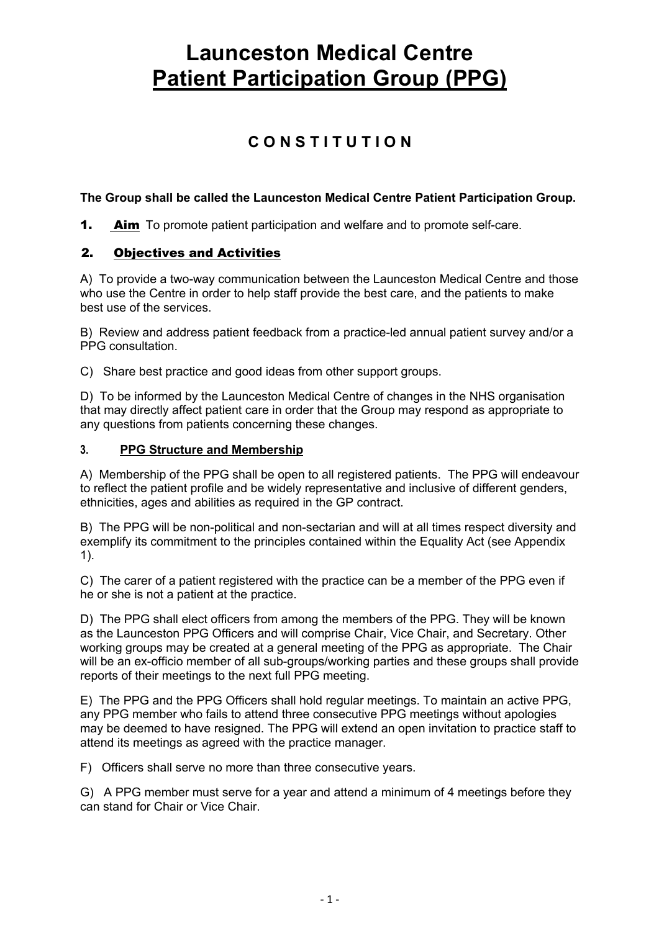# **C O N S T I T U T I O N**

# **The Group shall be called the Launceston Medical Centre Patient Participation Group.**

**1. Aim** To promote patient participation and welfare and to promote self-care.

# 2. Objectives and Activities

A) To provide a two-way communication between the Launceston Medical Centre and those who use the Centre in order to help staff provide the best care, and the patients to make best use of the services.

B) Review and address patient feedback from a practice-led annual patient survey and/or a PPG consultation.

C) Share best practice and good ideas from other support groups.

D) To be informed by the Launceston Medical Centre of changes in the NHS organisation that may directly affect patient care in order that the Group may respond as appropriate to any questions from patients concerning these changes.

#### **3. PPG Structure and Membership**

A) Membership of the PPG shall be open to all registered patients. The PPG will endeavour to reflect the patient profile and be widely representative and inclusive of different genders, ethnicities, ages and abilities as required in the GP contract.

B) The PPG will be non-political and non-sectarian and will at all times respect diversity and exemplify its commitment to the principles contained within the Equality Act (see Appendix 1).

C) The carer of a patient registered with the practice can be a member of the PPG even if he or she is not a patient at the practice.

D) The PPG shall elect officers from among the members of the PPG. They will be known as the Launceston PPG Officers and will comprise Chair, Vice Chair, and Secretary. Other working groups may be created at a general meeting of the PPG as appropriate. The Chair will be an ex-officio member of all sub-groups/working parties and these groups shall provide reports of their meetings to the next full PPG meeting.

E) The PPG and the PPG Officers shall hold regular meetings. To maintain an active PPG, any PPG member who fails to attend three consecutive PPG meetings without apologies may be deemed to have resigned. The PPG will extend an open invitation to practice staff to attend its meetings as agreed with the practice manager.

F) Officers shall serve no more than three consecutive years.

G) A PPG member must serve for a year and attend a minimum of 4 meetings before they can stand for Chair or Vice Chair.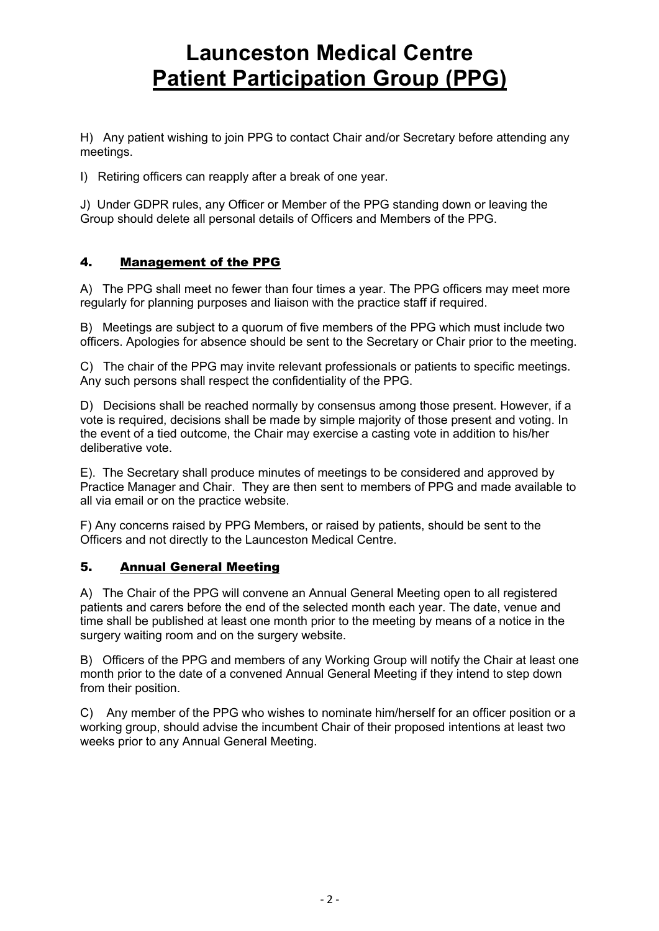H) Any patient wishing to join PPG to contact Chair and/or Secretary before attending any meetings.

I) Retiring officers can reapply after a break of one year.

J) Under GDPR rules, any Officer or Member of the PPG standing down or leaving the Group should delete all personal details of Officers and Members of the PPG.

# 4. Management of the PPG

A) The PPG shall meet no fewer than four times a year. The PPG officers may meet more regularly for planning purposes and liaison with the practice staff if required.

B) Meetings are subject to a quorum of five members of the PPG which must include two officers. Apologies for absence should be sent to the Secretary or Chair prior to the meeting.

C) The chair of the PPG may invite relevant professionals or patients to specific meetings. Any such persons shall respect the confidentiality of the PPG.

D) Decisions shall be reached normally by consensus among those present. However, if a vote is required, decisions shall be made by simple majority of those present and voting. In the event of a tied outcome, the Chair may exercise a casting vote in addition to his/her deliberative vote.

E). The Secretary shall produce minutes of meetings to be considered and approved by Practice Manager and Chair. They are then sent to members of PPG and made available to all via email or on the practice website.

F) Any concerns raised by PPG Members, or raised by patients, should be sent to the Officers and not directly to the Launceston Medical Centre.

# 5. Annual General Meeting

A) The Chair of the PPG will convene an Annual General Meeting open to all registered patients and carers before the end of the selected month each year. The date, venue and time shall be published at least one month prior to the meeting by means of a notice in the surgery waiting room and on the surgery website.

B) Officers of the PPG and members of any Working Group will notify the Chair at least one month prior to the date of a convened Annual General Meeting if they intend to step down from their position.

C) Any member of the PPG who wishes to nominate him/herself for an officer position or a working group, should advise the incumbent Chair of their proposed intentions at least two weeks prior to any Annual General Meeting.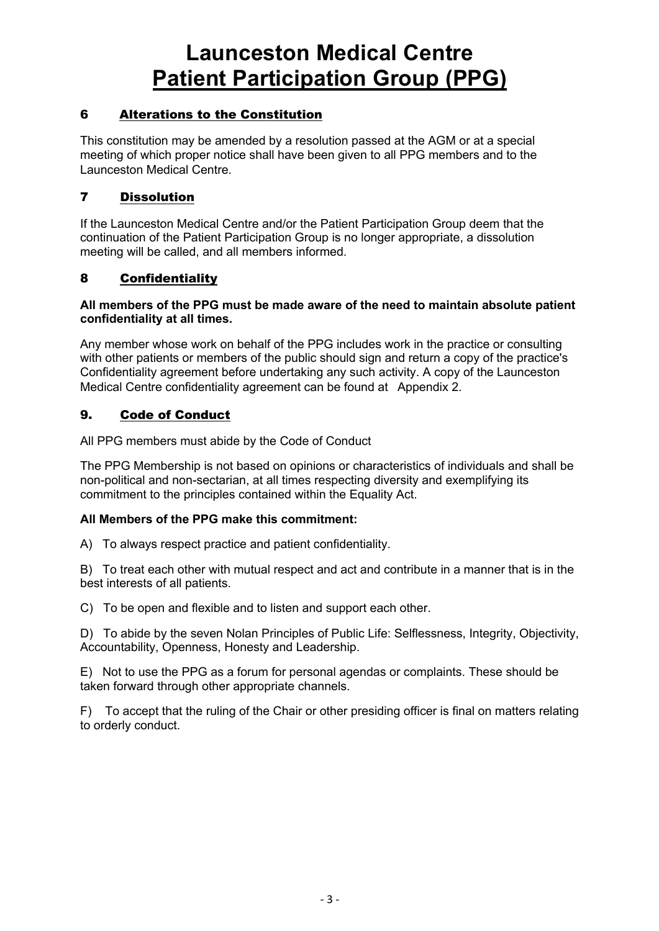# 6 Alterations to the Constitution

This constitution may be amended by a resolution passed at the AGM or at a special meeting of which proper notice shall have been given to all PPG members and to the Launceston Medical Centre.

# 7 Dissolution

If the Launceston Medical Centre and/or the Patient Participation Group deem that the continuation of the Patient Participation Group is no longer appropriate, a dissolution meeting will be called, and all members informed.

# 8 Confidentiality

#### **All members of the PPG must be made aware of the need to maintain absolute patient confidentiality at all times.**

Any member whose work on behalf of the PPG includes work in the practice or consulting with other patients or members of the public should sign and return a copy of the practice's Confidentiality agreement before undertaking any such activity. A copy of the Launceston Medical Centre confidentiality agreement can be found at Appendix 2.

# 9. Code of Conduct

All PPG members must abide by the Code of Conduct

The PPG Membership is not based on opinions or characteristics of individuals and shall be non-political and non-sectarian, at all times respecting diversity and exemplifying its commitment to the principles contained within the Equality Act.

#### **All Members of the PPG make this commitment:**

A) To always respect practice and patient confidentiality.

B) To treat each other with mutual respect and act and contribute in a manner that is in the best interests of all patients.

C) To be open and flexible and to listen and support each other.

D) To abide by the seven Nolan Principles of Public Life: Selflessness, Integrity, Objectivity, Accountability, Openness, Honesty and Leadership.

E) Not to use the PPG as a forum for personal agendas or complaints. These should be taken forward through other appropriate channels.

F) To accept that the ruling of the Chair or other presiding officer is final on matters relating to orderly conduct.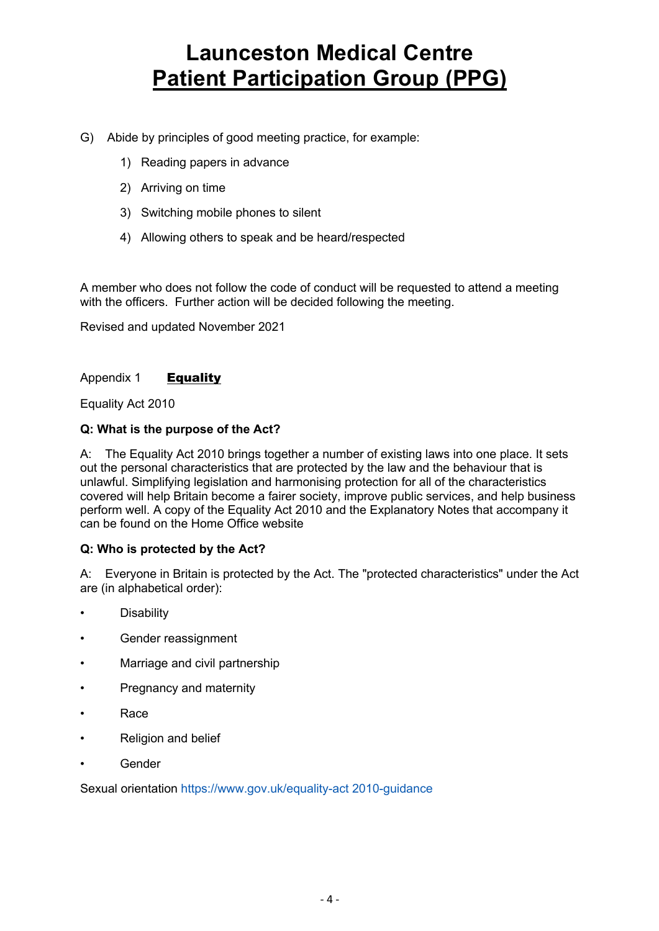- G) Abide by principles of good meeting practice, for example:
	- 1) Reading papers in advance
	- 2) Arriving on time
	- 3) Switching mobile phones to silent
	- 4) Allowing others to speak and be heard/respected

A member who does not follow the code of conduct will be requested to attend a meeting with the officers. Further action will be decided following the meeting.

Revised and updated November 2021

### Appendix 1 **Equality**

Equality Act 2010

### **Q: What is the purpose of the Act?**

A: The Equality Act 2010 brings together a number of existing laws into one place. It sets out the personal characteristics that are protected by the law and the behaviour that is unlawful. Simplifying legislation and harmonising protection for all of the characteristics covered will help Britain become a fairer society, improve public services, and help business perform well. A copy of the Equality Act 2010 and the Explanatory Notes that accompany it can be found on the Home Office website

#### **Q: Who is protected by the Act?**

A: Everyone in Britain is protected by the Act. The "protected characteristics" under the Act are (in alphabetical order):

- **Disability**
- Gender reassignment
- Marriage and civil partnership
- Pregnancy and maternity
- Race
- Religion and belief
- **Gender**

Sexual orientation https://www.gov.uk/equality-act 2010-guidance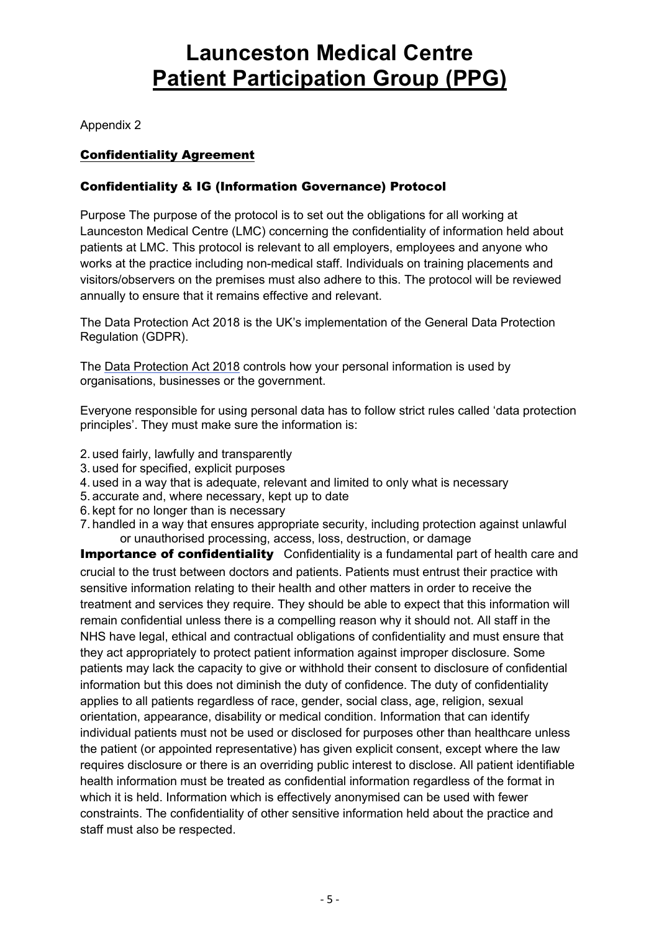Appendix 2

# Confidentiality Agreement

# Confidentiality & IG (Information Governance) Protocol

Purpose The purpose of the protocol is to set out the obligations for all working at Launceston Medical Centre (LMC) concerning the confidentiality of information held about patients at LMC. This protocol is relevant to all employers, employees and anyone who works at the practice including non-medical staff. Individuals on training placements and visitors/observers on the premises must also adhere to this. The protocol will be reviewed annually to ensure that it remains effective and relevant.

The Data Protection Act 2018 is the UK's implementation of the General Data Protection Regulation (GDPR).

The Data Protection Act 2018 controls how your personal information is used by organisations, businesses or the government.

Everyone responsible for using personal data has to follow strict rules called 'data protection principles'. They must make sure the information is:

- 2. used fairly, lawfully and transparently
- 3. used for specified, explicit purposes
- 4. used in a way that is adequate, relevant and limited to only what is necessary
- 5. accurate and, where necessary, kept up to date
- 6. kept for no longer than is necessary
- 7. handled in a way that ensures appropriate security, including protection against unlawful or unauthorised processing, access, loss, destruction, or damage

**Importance of confidentiality** Confidentiality is a fundamental part of health care and crucial to the trust between doctors and patients. Patients must entrust their practice with sensitive information relating to their health and other matters in order to receive the treatment and services they require. They should be able to expect that this information will remain confidential unless there is a compelling reason why it should not. All staff in the NHS have legal, ethical and contractual obligations of confidentiality and must ensure that they act appropriately to protect patient information against improper disclosure. Some patients may lack the capacity to give or withhold their consent to disclosure of confidential information but this does not diminish the duty of confidence. The duty of confidentiality applies to all patients regardless of race, gender, social class, age, religion, sexual orientation, appearance, disability or medical condition. Information that can identify individual patients must not be used or disclosed for purposes other than healthcare unless the patient (or appointed representative) has given explicit consent, except where the law requires disclosure or there is an overriding public interest to disclose. All patient identifiable health information must be treated as confidential information regardless of the format in which it is held. Information which is effectively anonymised can be used with fewer constraints. The confidentiality of other sensitive information held about the practice and staff must also be respected.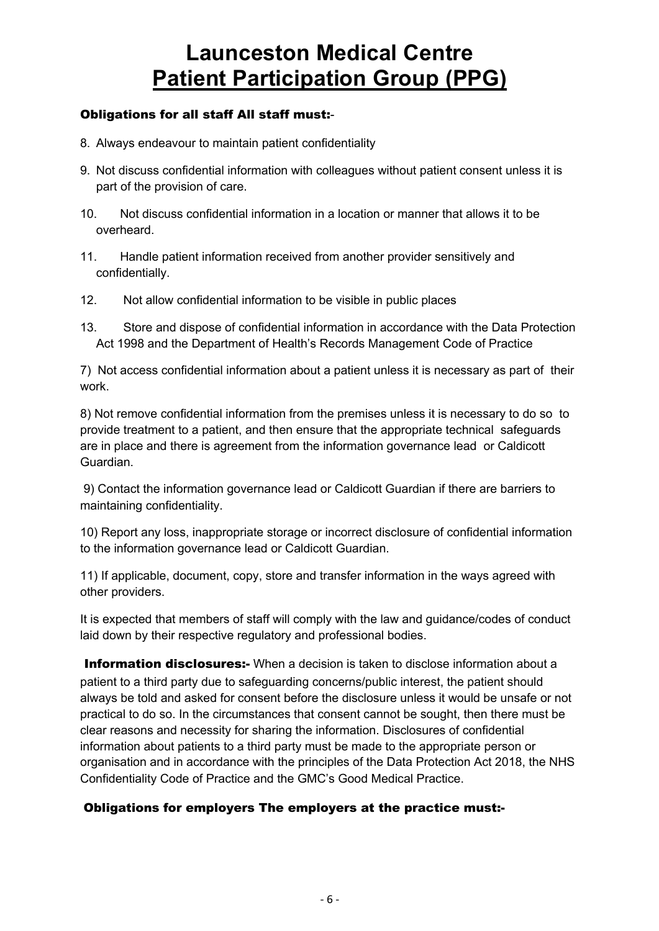# Obligations for all staff All staff must:-

- 8. Always endeavour to maintain patient confidentiality
- 9. Not discuss confidential information with colleagues without patient consent unless it is part of the provision of care.
- 10. Not discuss confidential information in a location or manner that allows it to be overheard.
- 11. Handle patient information received from another provider sensitively and confidentially.
- 12. Not allow confidential information to be visible in public places
- 13. Store and dispose of confidential information in accordance with the Data Protection Act 1998 and the Department of Health's Records Management Code of Practice

7) Not access confidential information about a patient unless it is necessary as part of their work.

8) Not remove confidential information from the premises unless it is necessary to do so to provide treatment to a patient, and then ensure that the appropriate technical safeguards are in place and there is agreement from the information governance lead or Caldicott Guardian.

9) Contact the information governance lead or Caldicott Guardian if there are barriers to maintaining confidentiality.

10) Report any loss, inappropriate storage or incorrect disclosure of confidential information to the information governance lead or Caldicott Guardian.

11) If applicable, document, copy, store and transfer information in the ways agreed with other providers.

It is expected that members of staff will comply with the law and guidance/codes of conduct laid down by their respective regulatory and professional bodies.

**Information disclosures:-** When a decision is taken to disclose information about a patient to a third party due to safeguarding concerns/public interest, the patient should always be told and asked for consent before the disclosure unless it would be unsafe or not practical to do so. In the circumstances that consent cannot be sought, then there must be clear reasons and necessity for sharing the information. Disclosures of confidential information about patients to a third party must be made to the appropriate person or organisation and in accordance with the principles of the Data Protection Act 2018, the NHS Confidentiality Code of Practice and the GMC's Good Medical Practice.

# Obligations for employers The employers at the practice must:-